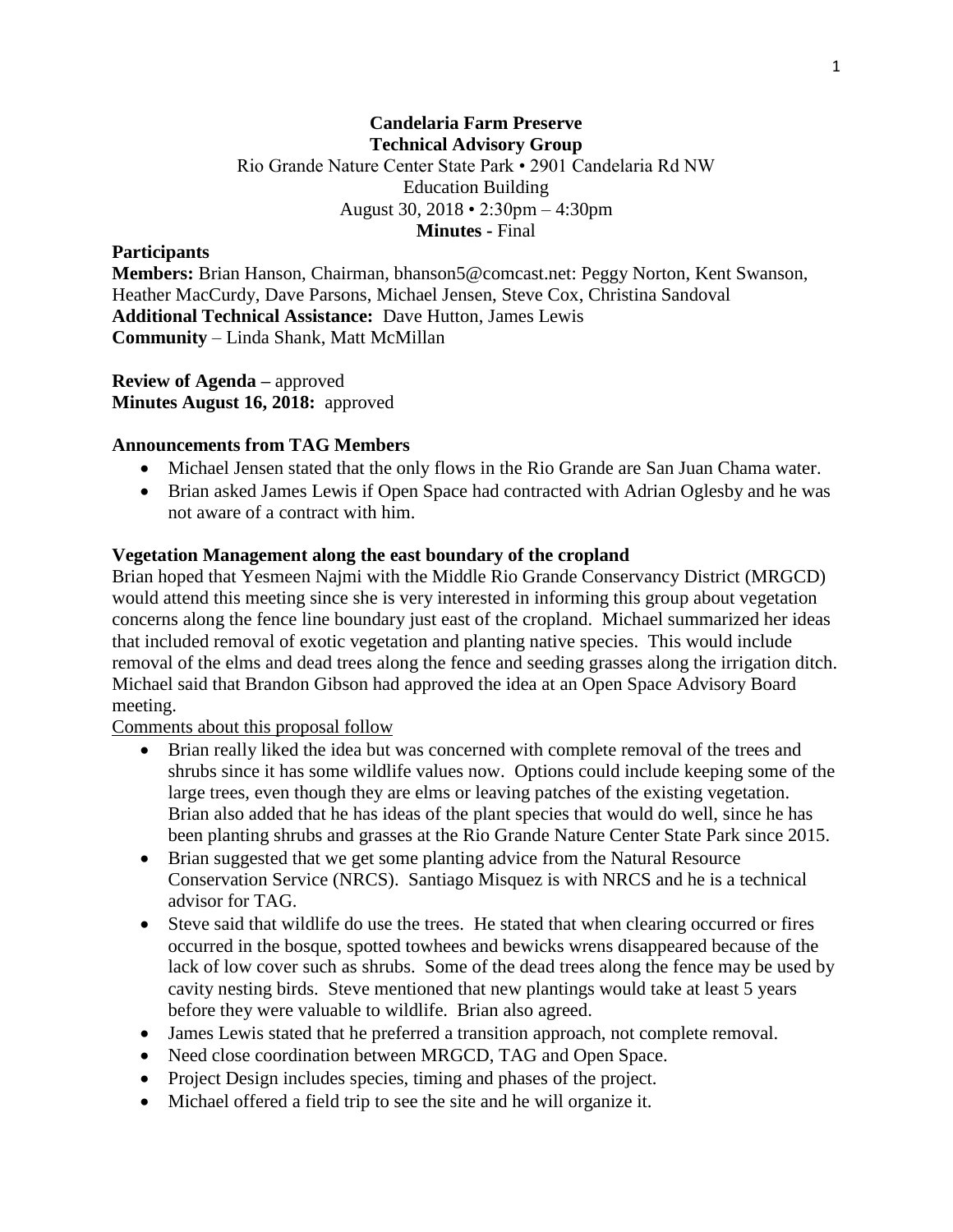## **Candelaria Farm Preserve Technical Advisory Group** Rio Grande Nature Center State Park • 2901 Candelaria Rd NW Education Building August 30, 2018 • 2:30pm – 4:30pm **Minutes -** Final

#### **Participants**

**Members:** Brian Hanson, Chairman, bhanson5@comcast.net: Peggy Norton, Kent Swanson, Heather MacCurdy, Dave Parsons, Michael Jensen, Steve Cox, Christina Sandoval **Additional Technical Assistance:** Dave Hutton, James Lewis **Community** – Linda Shank, Matt McMillan

**Review of Agenda –** approved **Minutes August 16, 2018:** approved

#### **Announcements from TAG Members**

- Michael Jensen stated that the only flows in the Rio Grande are San Juan Chama water.
- Brian asked James Lewis if Open Space had contracted with Adrian Oglesby and he was not aware of a contract with him.

#### **Vegetation Management along the east boundary of the cropland**

Brian hoped that Yesmeen Najmi with the Middle Rio Grande Conservancy District (MRGCD) would attend this meeting since she is very interested in informing this group about vegetation concerns along the fence line boundary just east of the cropland. Michael summarized her ideas that included removal of exotic vegetation and planting native species. This would include removal of the elms and dead trees along the fence and seeding grasses along the irrigation ditch. Michael said that Brandon Gibson had approved the idea at an Open Space Advisory Board meeting.

### Comments about this proposal follow

- Brian really liked the idea but was concerned with complete removal of the trees and shrubs since it has some wildlife values now. Options could include keeping some of the large trees, even though they are elms or leaving patches of the existing vegetation. Brian also added that he has ideas of the plant species that would do well, since he has been planting shrubs and grasses at the Rio Grande Nature Center State Park since 2015.
- Brian suggested that we get some planting advice from the Natural Resource Conservation Service (NRCS). Santiago Misquez is with NRCS and he is a technical advisor for TAG.
- Steve said that wildlife do use the trees. He stated that when clearing occurred or fires occurred in the bosque, spotted towhees and bewicks wrens disappeared because of the lack of low cover such as shrubs. Some of the dead trees along the fence may be used by cavity nesting birds. Steve mentioned that new plantings would take at least 5 years before they were valuable to wildlife. Brian also agreed.
- James Lewis stated that he preferred a transition approach, not complete removal.
- Need close coordination between MRGCD, TAG and Open Space.
- Project Design includes species, timing and phases of the project.
- Michael offered a field trip to see the site and he will organize it.